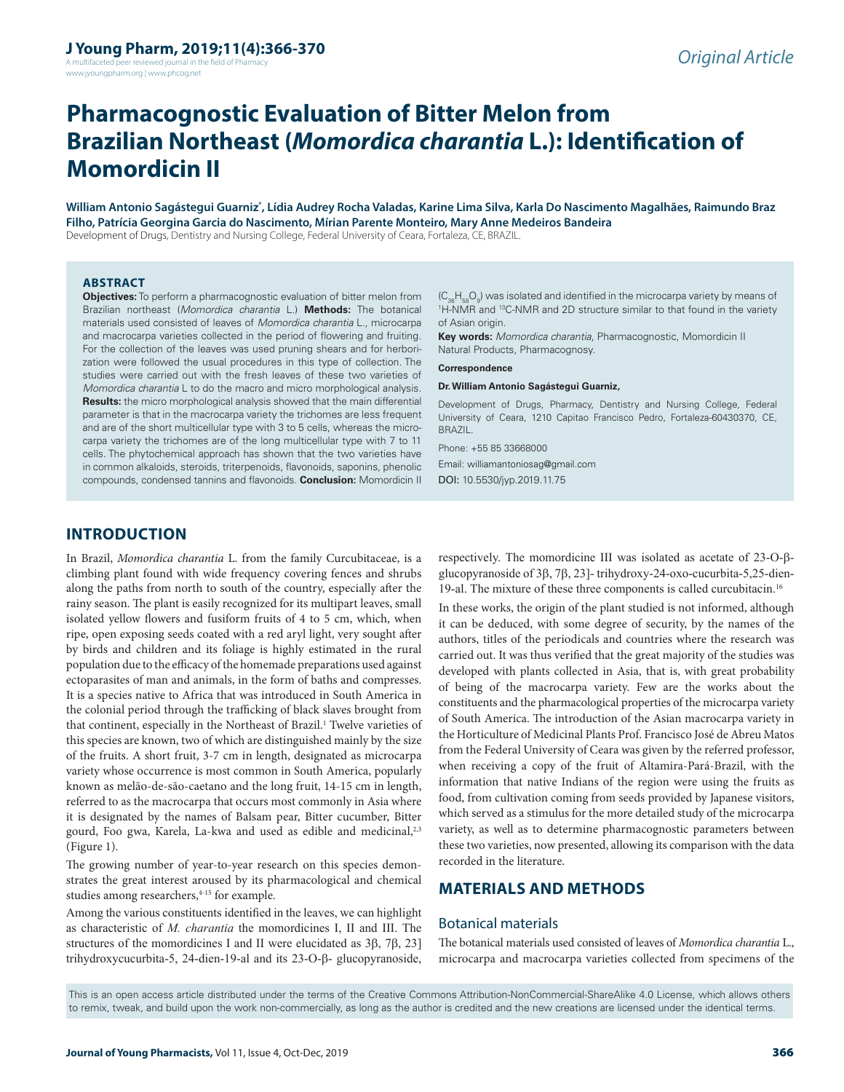A multifaceted peer reviewed journal in the field of Pharmacy www.jyoungpharm.org | www.phcog.net

# **Pharmacognostic Evaluation of Bitter Melon from Brazilian Northeast (***Momordica charantia* **L.): Identification of Momordicin II**

**William Antonio Sagástegui Guarniz\* , Lídia Audrey Rocha Valadas, Karine Lima Silva, Karla Do Nascimento Magalhães, Raimundo Braz Filho, Patrícia Georgina Garcia do Nascimento, Mírian Parente Monteiro, Mary Anne Medeiros Bandeira** Development of Drugs, Dentistry and Nursing College, Federal University of Ceara, Fortaleza, CE, BRAZIL.

#### **ABSTRACT**

**Objectives:** To perform a pharmacognostic evaluation of bitter melon from Brazilian northeast (*Momordica charantia* L.) **Methods:** The botanical materials used consisted of leaves of *Momordica charantia* L., microcarpa and macrocarpa varieties collected in the period of flowering and fruiting. For the collection of the leaves was used pruning shears and for herborization were followed the usual procedures in this type of collection. The studies were carried out with the fresh leaves of these two varieties of *Momordica charantia* L to do the macro and micro morphological analysis. **Results:** the micro morphological analysis showed that the main differential parameter is that in the macrocarpa variety the trichomes are less frequent and are of the short multicellular type with 3 to 5 cells, whereas the microcarpa variety the trichomes are of the long multicellular type with 7 to 11 cells. The phytochemical approach has shown that the two varieties have in common alkaloids, steroids, triterpenoids, flavonoids, saponins, phenolic compounds, condensed tannins and flavonoids. **Conclusion:** Momordicin II

 $\langle C_{36}H_{58}O_9\rangle$  was isolated and identified in the microcarpa variety by means of<br>'H-NMB and <sup>13</sup>C-NMB and 2D structure similar to that found in the variety. <sup>1</sup>H-NMR and <sup>13</sup>C-NMR and 2D structure similar to that found in the variety of Asian origin.

**Key words:** *Momordica charantia*, Pharmacognostic, Momordicin II Natural Products, Pharmacognosy.

**Correspondence**

#### **Dr. William Antonio Sagástegui Guarniz,**

Development of Drugs, Pharmacy, Dentistry and Nursing College, Federal University of Ceara, 1210 Capitao Francisco Pedro, Fortaleza-60430370, CE, BRAZIL.

Phone: +55 85 33668000

Email: williamantoniosag@gmail.com DOI: 10.5530/jyp.2019.11.75

# **INTRODUCTION**

In Brazil, *Momordica charantia* L. from the family Curcubitaceae, is a climbing plant found with wide frequency covering fences and shrubs along the paths from north to south of the country, especially after the rainy season. The plant is easily recognized for its multipart leaves, small isolated yellow flowers and fusiform fruits of 4 to 5 cm, which, when ripe, open exposing seeds coated with a red aryl light, very sought after by birds and children and its foliage is highly estimated in the rural population due to the efficacy of the homemade preparations used against ectoparasites of man and animals, in the form of baths and compresses. It is a species native to Africa that was introduced in South America in the colonial period through the trafficking of black slaves brought from that continent, especially in the Northeast of Brazil.<sup>1</sup> Twelve varieties of this species are known, two of which are distinguished mainly by the size of the fruits. A short fruit, 3-7 cm in length, designated as microcarpa variety whose occurrence is most common in South America, popularly known as melão-de-são-caetano and the long fruit, 14-15 cm in length, referred to as the macrocarpa that occurs most commonly in Asia where it is designated by the names of Balsam pear, Bitter cucumber, Bitter gourd, Foo gwa, Karela, La-kwa and used as edible and medicinal,<sup>2,3</sup> (Figure 1).

The growing number of year-to-year research on this species demonstrates the great interest aroused by its pharmacological and chemical studies among researchers,<sup>4-15</sup> for example.

Among the various constituents identified in the leaves, we can highlight as characteristic of *M. charantia* the momordicines I, II and III. The structures of the momordicines I and II were elucidated as 3β, 7β, 23] trihydroxycucurbita-5, 24-dien-19-al and its 23-O-β- glucopyranoside,

respectively. The momordicine III was isolated as acetate of 23-O-βglucopyranoside of 3β, 7β, 23]- trihydroxy-24-oxo-cucurbita-5,25-dien-19-al. The mixture of these three components is called curcubitacin.16

In these works, the origin of the plant studied is not informed, although it can be deduced, with some degree of security, by the names of the authors, titles of the periodicals and countries where the research was carried out. It was thus verified that the great majority of the studies was developed with plants collected in Asia, that is, with great probability of being of the macrocarpa variety. Few are the works about the constituents and the pharmacological properties of the microcarpa variety of South America. The introduction of the Asian macrocarpa variety in the Horticulture of Medicinal Plants Prof. Francisco José de Abreu Matos from the Federal University of Ceara was given by the referred professor, when receiving a copy of the fruit of Altamira-Pará-Brazil, with the information that native Indians of the region were using the fruits as food, from cultivation coming from seeds provided by Japanese visitors, which served as a stimulus for the more detailed study of the microcarpa variety, as well as to determine pharmacognostic parameters between these two varieties, now presented, allowing its comparison with the data recorded in the literature.

# **MATERIALS AND METHODS**

## Botanical materials

The botanical materials used consisted of leaves of *Momordica charantia* L., microcarpa and macrocarpa varieties collected from specimens of the

This is an open access article distributed under the terms of the Creative Commons Attribution-NonCommercial-ShareAlike 4.0 License, which allows others to remix, tweak, and build upon the work non-commercially, as long as the author is credited and the new creations are licensed under the identical terms.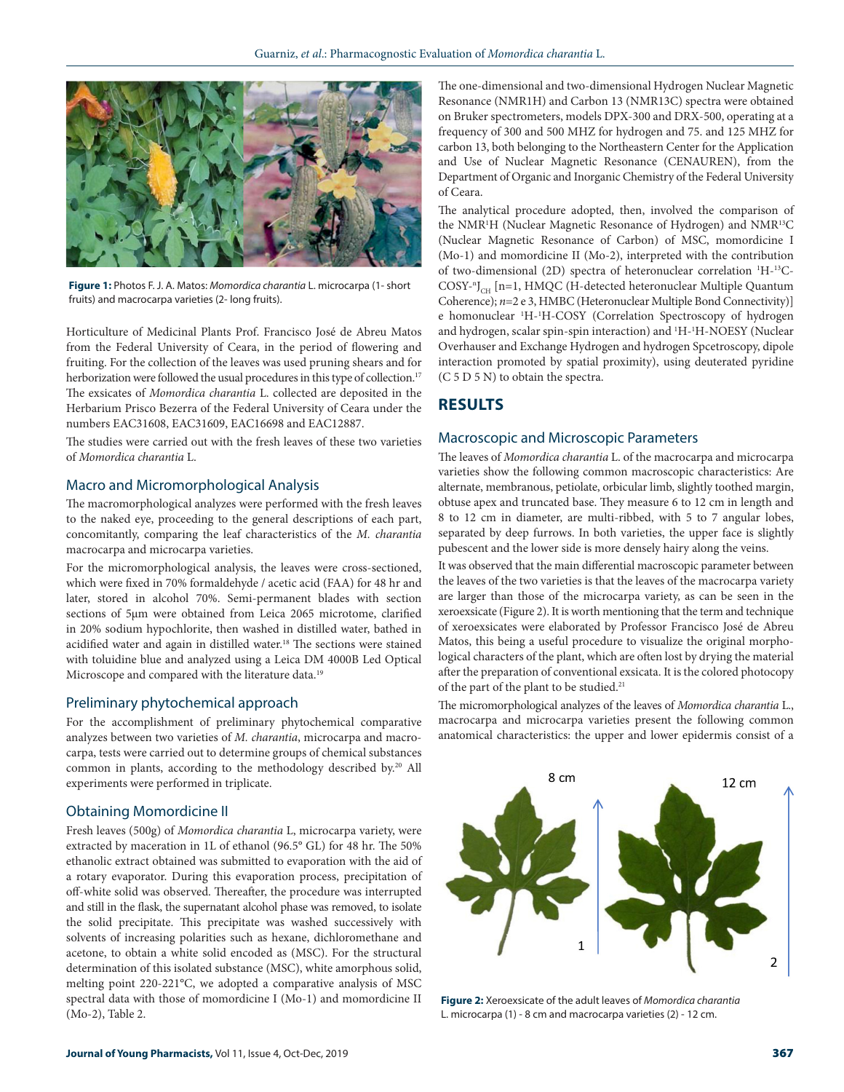

**Figure 1:** Photos F. J. A. Matos: *Momordica charantia* L. microcarpa (1- short fruits) and macrocarpa varieties (2- long fruits).

Horticulture of Medicinal Plants Prof. Francisco José de Abreu Matos from the Federal University of Ceara, in the period of flowering and fruiting. For the collection of the leaves was used pruning shears and for herborization were followed the usual procedures in this type of collection.<sup>17</sup> The exsicates of *Momordica charantia* L. collected are deposited in the Herbarium Prisco Bezerra of the Federal University of Ceara under the numbers EAC31608, EAC31609, EAC16698 and EAC12887.

The studies were carried out with the fresh leaves of these two varieties of *Momordica charantia* L.

# Macro and Micromorphological Analysis

The macromorphological analyzes were performed with the fresh leaves to the naked eye, proceeding to the general descriptions of each part, concomitantly, comparing the leaf characteristics of the *M. charantia* macrocarpa and microcarpa varieties.

For the micromorphological analysis, the leaves were cross-sectioned, which were fixed in 70% formaldehyde / acetic acid (FAA) for 48 hr and later, stored in alcohol 70%. Semi-permanent blades with section sections of 5μm were obtained from Leica 2065 microtome, clarified in 20% sodium hypochlorite, then washed in distilled water, bathed in acidified water and again in distilled water.18 The sections were stained with toluidine blue and analyzed using a Leica DM 4000B Led Optical Microscope and compared with the literature data.19

### Preliminary phytochemical approach

For the accomplishment of preliminary phytochemical comparative analyzes between two varieties of *M. charantia*, microcarpa and macrocarpa, tests were carried out to determine groups of chemical substances common in plants, according to the methodology described by.20 All experiments were performed in triplicate.

### Obtaining Momordicine II

Fresh leaves (500g) of *Momordica charantia* L, microcarpa variety, were extracted by maceration in 1L of ethanol (96.5° GL) for 48 hr. The 50% ethanolic extract obtained was submitted to evaporation with the aid of a rotary evaporator. During this evaporation process, precipitation of off-white solid was observed. Thereafter, the procedure was interrupted and still in the flask, the supernatant alcohol phase was removed, to isolate the solid precipitate. This precipitate was washed successively with solvents of increasing polarities such as hexane, dichloromethane and acetone, to obtain a white solid encoded as (MSC). For the structural determination of this isolated substance (MSC), white amorphous solid, melting point 220-221°C, we adopted a comparative analysis of MSC spectral data with those of momordicine I (Mo-1) and momordicine II (Mo-2), Table 2.

The one-dimensional and two-dimensional Hydrogen Nuclear Magnetic Resonance (NMR1H) and Carbon 13 (NMR13C) spectra were obtained on Bruker spectrometers, models DPX-300 and DRX-500, operating at a frequency of 300 and 500 MHZ for hydrogen and 75. and 125 MHZ for carbon 13, both belonging to the Northeastern Center for the Application and Use of Nuclear Magnetic Resonance (CENAUREN), from the Department of Organic and Inorganic Chemistry of the Federal University of Ceara.

The analytical procedure adopted, then, involved the comparison of the NMR1 H (Nuclear Magnetic Resonance of Hydrogen) and NMR13C (Nuclear Magnetic Resonance of Carbon) of MSC, momordicine I (Mo-1) and momordicine II (Mo-2), interpreted with the contribution of two-dimensional (2D) spectra of heteronuclear correlation 1 H-13C-COSY-"J<sub>CH</sub> [n=1, HMQC (H-detected heteronuclear Multiple Quantum Coherence); *n*=2 e 3, HMBC (Heteronuclear Multiple Bond Connectivity)] e homonuclear 1 H-1 H-COSY (Correlation Spectroscopy of hydrogen and hydrogen, scalar spin-spin interaction) and <sup>1</sup>H-<sup>1</sup>H-NOESY (Nuclear Overhauser and Exchange Hydrogen and hydrogen Spcetroscopy, dipole interaction promoted by spatial proximity), using deuterated pyridine (C 5 D 5 N) to obtain the spectra.

## **RESULTS**

## Macroscopic and Microscopic Parameters

The leaves of *Momordica charantia* L. of the macrocarpa and microcarpa varieties show the following common macroscopic characteristics: Are alternate, membranous, petiolate, orbicular limb, slightly toothed margin, obtuse apex and truncated base. They measure 6 to 12 cm in length and 8 to 12 cm in diameter, are multi-ribbed, with 5 to 7 angular lobes, separated by deep furrows. In both varieties, the upper face is slightly pubescent and the lower side is more densely hairy along the veins.

It was observed that the main differential macroscopic parameter between the leaves of the two varieties is that the leaves of the macrocarpa variety are larger than those of the microcarpa variety, as can be seen in the xeroexsicate (Figure 2). It is worth mentioning that the term and technique of xeroexsicates were elaborated by Professor Francisco José de Abreu Matos, this being a useful procedure to visualize the original morphological characters of the plant, which are often lost by drying the material after the preparation of conventional exsicata. It is the colored photocopy of the part of the plant to be studied.<sup>21</sup>

The micromorphological analyzes of the leaves of *Momordica charantia* L., macrocarpa and microcarpa varieties present the following common anatomical characteristics: the upper and lower epidermis consist of a



**Figure 2:** Xeroexsicate of the adult leaves of *Momordica charantia* L. microcarpa (1) - 8 cm and macrocarpa varieties (2) - 12 cm.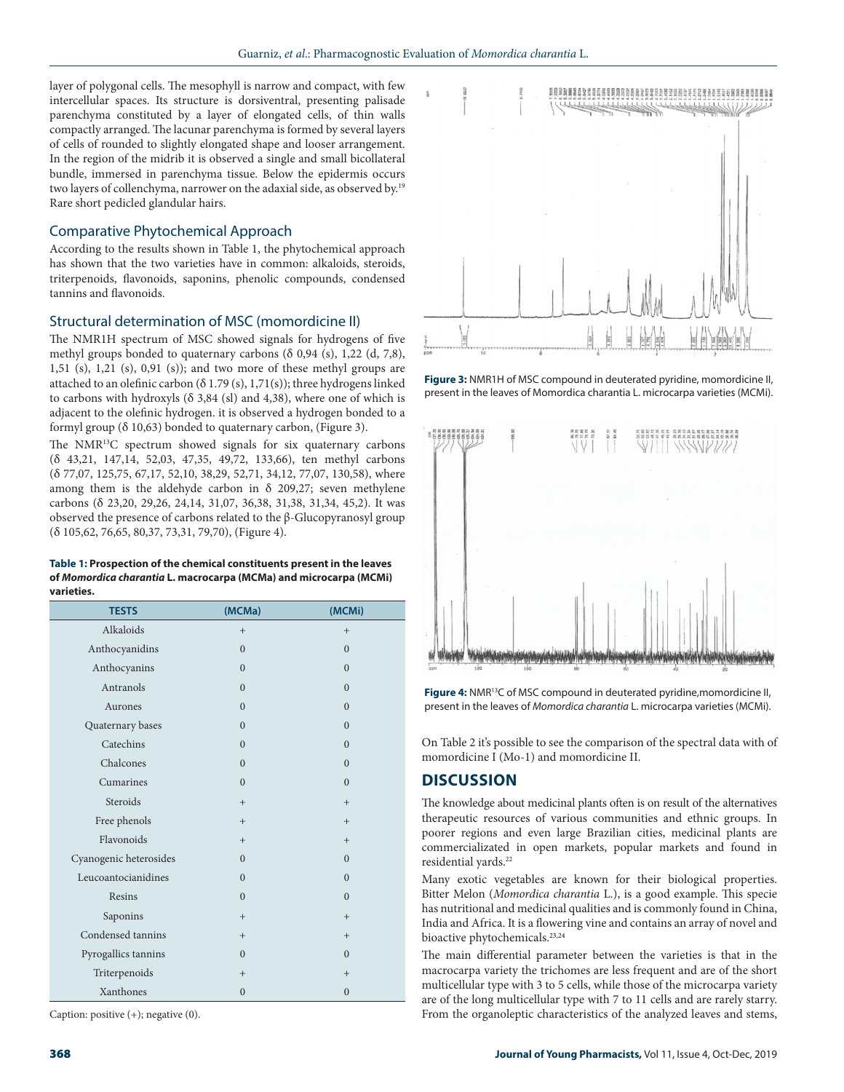layer of polygonal cells. The mesophyll is narrow and compact, with few intercellular spaces. Its structure is dorsiventral, presenting palisade parenchyma constituted by a layer of elongated cells, of thin walls compactly arranged. The lacunar parenchyma is formed by several layers of cells of rounded to slightly elongated shape and looser arrangement. In the region of the midrib it is observed a single and small bicollateral bundle, immersed in parenchyma tissue. Below the epidermis occurs two layers of collenchyma, narrower on the adaxial side, as observed by.19 Rare short pedicled glandular hairs.

## Comparative Phytochemical Approach

According to the results shown in Table 1, the phytochemical approach has shown that the two varieties have in common: alkaloids, steroids, triterpenoids, flavonoids, saponins, phenolic compounds, condensed tannins and flavonoids.

## Structural determination of MSC (momordicine II)

The NMR1H spectrum of MSC showed signals for hydrogens of five methyl groups bonded to quaternary carbons  $(δ 0,94 (s), 1,22 (d, 7,8))$ , 1,51 (s), 1,21 (s), 0,91 (s)); and two more of these methyl groups are attached to an olefinic carbon (δ 1.79 (s), 1,71(s)); three hydrogens linked to carbons with hydroxyls (δ 3,84 (sl) and 4,38), where one of which is adjacent to the olefinic hydrogen. it is observed a hydrogen bonded to a formyl group (δ 10,63) bonded to quaternary carbon, (Figure 3).

The NMR<sup>13</sup>C spectrum showed signals for six quaternary carbons (δ 43,21, 147,14, 52,03, 47,35, 49,72, 133,66), ten methyl carbons (δ 77,07, 125,75, 67,17, 52,10, 38,29, 52,71, 34,12, 77,07, 130,58), where among them is the aldehyde carbon in  $\delta$  209,27; seven methylene carbons (δ 23,20, 29,26, 24,14, 31,07, 36,38, 31,38, 31,34, 45,2). It was observed the presence of carbons related to the β-Glucopyranosyl group (δ 105,62, 76,65, 80,37, 73,31, 79,70), (Figure 4).

#### **Table 1: Prospection of the chemical constituents present in the leaves of** *Momordica charantia* **L. macrocarpa (MCMa) and microcarpa (MCMi) varieties.**

| <b>TESTS</b>           | (MCMa)         | (MCMi)         |
|------------------------|----------------|----------------|
| Alkaloids              | $+$            | $+$            |
| Anthocyanidins         | $\Omega$       | $\mathbf{0}$   |
| Anthocyanins           | $\overline{0}$ | $\mathbf{0}$   |
| Antranols              | $\theta$       | $\overline{0}$ |
| Aurones                | $\overline{0}$ | $\overline{0}$ |
| Quaternary bases       | $\theta$       | $\Omega$       |
| Catechins              | $\Omega$       | $\Omega$       |
| Chalcones              | $\overline{0}$ | $\mathbf{0}$   |
| Cumarines              | $\theta$       | $\Omega$       |
| Steroids               | $+$            | $+$            |
| Free phenols           | $+$            | $+$            |
| Flavonoids             | $^{+}$         | $^{+}$         |
| Cyanogenic heterosides | $\Omega$       | $\mathbf{0}$   |
| Leucoantocianidines    | $\theta$       | $\Omega$       |
| Resins                 | $\theta$       | $\mathbf{0}$   |
| Saponins               | $+$            | $+$            |
| Condensed tannins      | $+$            | $^{+}$         |
| Pyrogallics tannins    | $\Omega$       | $\overline{0}$ |
| Triterpenoids          | $+$            | $+$            |
| Xanthones              | $\overline{0}$ | $\overline{0}$ |

Caption: positive (+); negative (0).



**Figure 3:** NMR1H of MSC compound in deuterated pyridine, momordicine II, present in the leaves of Momordica charantia L. microcarpa varieties (MCMi).



**Figure 4:** NMR<sup>13</sup>C of MSC compound in deuterated pyridine, momordicine II, present in the leaves of *Momordica charantia* L. microcarpa varieties (MCMi).

On Table 2 it's possible to see the comparison of the spectral data with of momordicine I (Mo-1) and momordicine II.

# **DISCUSSION**

The knowledge about medicinal plants often is on result of the alternatives therapeutic resources of various communities and ethnic groups. In poorer regions and even large Brazilian cities, medicinal plants are commercializated in open markets, popular markets and found in residential vards.<sup>22</sup>

Many exotic vegetables are known for their biological properties. Bitter Melon (*Momordica charantia* L.), is a good example. This specie has nutritional and medicinal qualities and is commonly found in China, India and Africa. It is a flowering vine and contains an array of novel and bioactive phytochemicals.<sup>23,24</sup>

The main differential parameter between the varieties is that in the macrocarpa variety the trichomes are less frequent and are of the short multicellular type with 3 to 5 cells, while those of the microcarpa variety are of the long multicellular type with 7 to 11 cells and are rarely starry. From the organoleptic characteristics of the analyzed leaves and stems,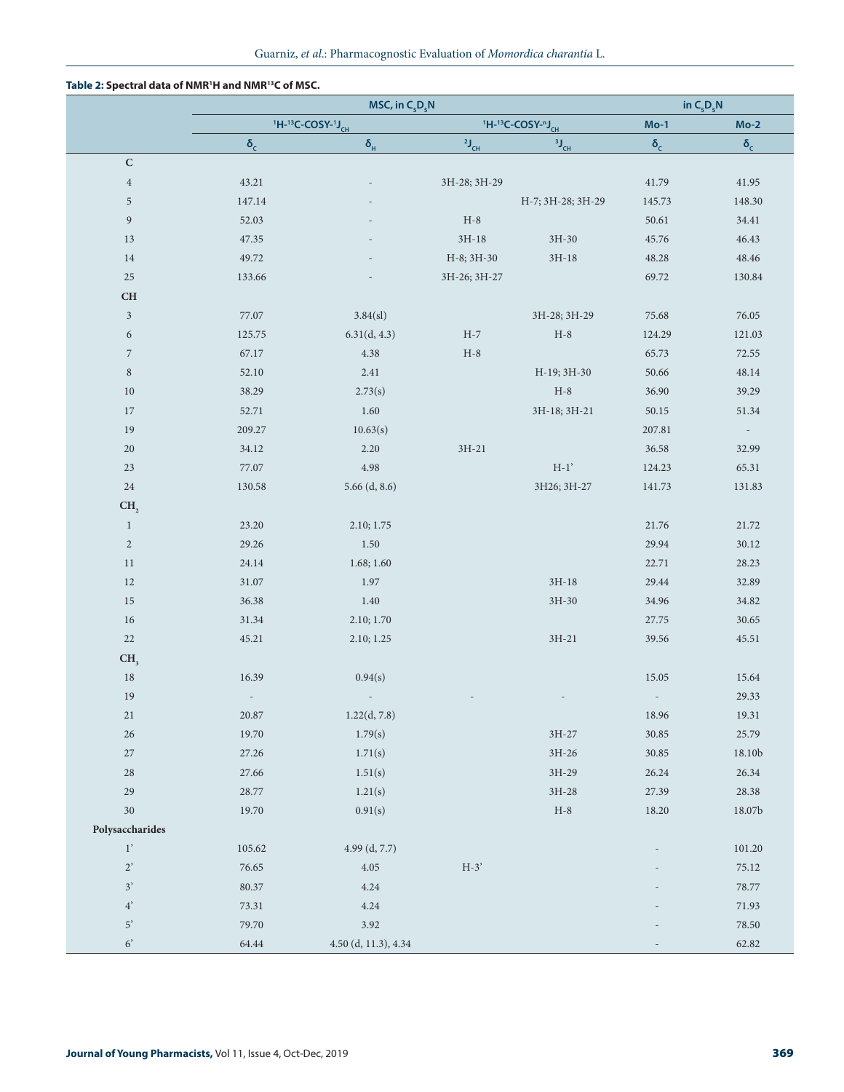### **Table 2: Spectral data of NMR1 H and NMR13C of MSC.**

|                  | MSC, in $C_5D_5N$              |                      |                                                                    |                           | in $C_5D_5N$ |                   |
|------------------|--------------------------------|----------------------|--------------------------------------------------------------------|---------------------------|--------------|-------------------|
|                  | $H$ -13C-COSY-1J <sub>CH</sub> |                      | <sup>1</sup> H- <sup>13</sup> C-COSY- <sup>n</sup> J <sub>CH</sub> |                           | $Mo-1$       | $Mo-2$            |
|                  | $\delta_{\rm c}$               | $\delta_{\rm H}$     | $2J_{CH}$                                                          | $3J_{CH}$                 | $\delta_c$   | $\delta_{\rm c}$  |
| ${\bf C}$        |                                |                      |                                                                    |                           |              |                   |
| $\,4\,$          | 43.21                          |                      | 3H-28; 3H-29                                                       |                           | 41.79        | 41.95             |
| 5                | 147.14                         |                      |                                                                    | H-7; 3H-28; 3H-29         | 145.73       | 148.30            |
| $\boldsymbol{9}$ | 52.03                          |                      | $H-8$                                                              |                           | 50.61        | 34.41             |
| 13               | 47.35                          |                      | $3H-18$                                                            | $3H-30$                   | 45.76        | 46.43             |
| 14               | 49.72                          |                      | H-8; 3H-30                                                         | $3H-18$                   | 48.28        | 48.46             |
| $25\,$           | 133.66                         |                      | 3H-26; 3H-27                                                       |                           | 69.72        | 130.84            |
| CH               |                                |                      |                                                                    |                           |              |                   |
| $\sqrt{3}$       | 77.07                          | 3.84(s)              |                                                                    | 3H-28; 3H-29              | 75.68        | 76.05             |
| $\boldsymbol{6}$ | 125.75                         | 6.31(d, 4.3)         | $H-7$                                                              | $H-8$                     | 124.29       | 121.03            |
| $\sqrt{7}$       | 67.17                          | 4.38                 | $H-8$                                                              |                           | 65.73        | 72.55             |
| $\,$ 8 $\,$      | 52.10                          | 2.41                 |                                                                    | H-19; 3H-30               | 50.66        | 48.14             |
| 10               | 38.29                          | 2.73(s)              |                                                                    | $H-8$                     | 36.90        | 39.29             |
| $17\,$           | 52.71                          | 1.60                 |                                                                    | 3H-18; 3H-21              | 50.15        | 51.34             |
| 19               | 209.27                         | 10.63(s)             |                                                                    |                           | 207.81       | $\sim$ $-$        |
| $20\,$           | 34.12                          | 2.20                 | $3H-21$                                                            |                           | 36.58        | 32.99             |
| $23\,$           | 77.07                          | 4.98                 |                                                                    | $\mathrm{H}\text{-}1'$    | 124.23       | 65.31             |
| 24               | 130.58                         | $5.66$ (d, 8.6)      |                                                                    | 3H26; 3H-27               | 141.73       | 131.83            |
| CH <sub>2</sub>  |                                |                      |                                                                    |                           |              |                   |
| $\mathbf{1}$     | 23.20                          | 2.10; 1.75           |                                                                    |                           | 21.76        | 21.72             |
| $\sqrt{2}$       | 29.26                          | 1.50                 |                                                                    |                           | 29.94        | 30.12             |
| 11               | 24.14                          | 1.68; 1.60           |                                                                    |                           | 22.71        | 28.23             |
| 12               | $31.07\,$                      | 1.97                 |                                                                    | $3H-18$                   | 29.44        | 32.89             |
| 15               | 36.38                          | 1.40                 |                                                                    | $3H-30$                   | 34.96        | 34.82             |
| 16               | 31.34                          | 2.10; 1.70           |                                                                    |                           | 27.75        | 30.65             |
| $22\,$           | 45.21                          | 2.10; 1.25           |                                                                    | $3H-21$                   | 39.56        | 45.51             |
| CH <sub>3</sub>  |                                |                      |                                                                    |                           |              |                   |
| 18               | 16.39                          | 0.94(s)              |                                                                    |                           | 15.05        | 15.64             |
| 19               |                                |                      |                                                                    |                           |              | 29.33             |
| $21\,$           | $20.87\,$                      | 1.22(d, 7.8)         |                                                                    |                           | 18.96        | 19.31             |
| 26               | 19.70                          | 1.79(s)              |                                                                    | $3H-27$                   | 30.85        | 25.79             |
| $27\,$           | 27.26                          | 1.71(s)              |                                                                    | $3H-26$                   | 30.85        | 18.10b            |
| $28\,$           | 27.66                          | 1.51(s)              |                                                                    | 3H-29                     | 26.24        | 26.34             |
| $29\,$           | $28.77\,$                      | 1.21(s)              |                                                                    | $3\mathrm{H}{\text{-}28}$ | 27.39        | 28.38             |
| 30               | 19.70                          | 0.91(s)              |                                                                    | $H-8$                     | 18.20        | $18.07\mathrm{b}$ |
| Polysaccharides  |                                |                      |                                                                    |                           |              |                   |
| $1^{\prime}$     | 105.62                         | 4.99 (d, 7.7)        |                                                                    |                           |              | 101.20            |
| $2^\circ$        | 76.65                          | $4.05\,$             | $H-3'$                                                             |                           |              | 75.12             |
| $\mathfrak{Z}'$  | 80.37                          | 4.24                 |                                                                    |                           |              | 78.77             |
| $4^{\circ}$      | 73.31                          | 4.24                 |                                                                    |                           |              | 71.93             |
| $5^\circ$        | 79.70                          | 3.92                 |                                                                    |                           |              | $78.50\,$         |
| $6^\prime$       | 64.44                          | 4.50 (d, 11.3), 4.34 |                                                                    |                           |              | 62.82             |